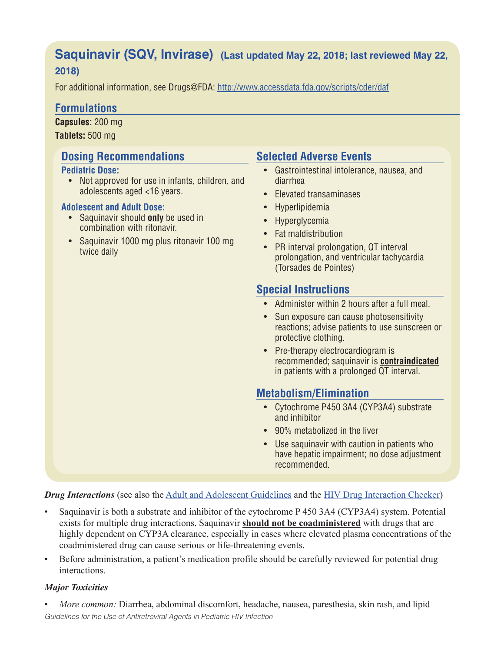# **Saquinavir (SQV, Invirase) (Last updated May 22, 2018; last reviewed May 22,**

# **2018)**

For additional information, see Drugs@FDA: http://www.accessdata.fda.gov/scripts/cder/daf

# **Formulations**

**Capsules:** 200 mg **Tablets:** 500 mg

# **Dosing Recommendations**

## **Pediatric Dose:**

• Not approved for use in infants, children, and adolescents aged <16 years.

## **Adolescent and Adult Dose:**

- Saquinavir should **only** be used in combination with ritonavir.
- Saquinavir 1000 mg plus ritonavir 100 mg twice daily

# **Selected Adverse Events**

- Gastrointestinal intolerance, nausea, and diarrhea
- Elevated transaminases
- Hyperlipidemia
- Hyperglycemia
- Fat maldistribution
- PR interval prolongation, QT interval prolongation, and ventricular tachycardia (Torsades de Pointes)

# **Special Instructions**

- Administer within 2 hours after a full meal.
- Sun exposure can cause photosensitivity reactions; advise patients to use sunscreen or protective clothing.
- Pre-therapy electrocardiogram is recommended; saquinavir is **contraindicated** in patients with a prolonged QT interval.

# **Metabolism/Elimination**

- Cytochrome P450 3A4 (CYP3A4) substrate and inhibitor
- 90% metabolized in the liver
- Use saquinavir with caution in patients who have hepatic impairment; no dose adjustment recommended.

*Drug Interactions* (see also the Adult and Adolescent Guidelines and the HIV Drug Interaction Checker)

- Saquinavir is both a substrate and inhibitor of the cytochrome P 450 3A4 (CYP3A4) system. Potential exists for multiple drug interactions. Saquinavir **should not be coadministered** with drugs that are highly dependent on CYP3A clearance, especially in cases where elevated plasma concentrations of the coadministered drug can cause serious or life-threatening events.
- Before administration, a patient's medication profile should be carefully reviewed for potential drug interactions.

# *Major Toxicities*

*Guidelines for the Use of Antiretroviral Agents in Pediatric HIV Infection* • *More common:* Diarrhea, abdominal discomfort, headache, nausea, paresthesia, skin rash, and lipid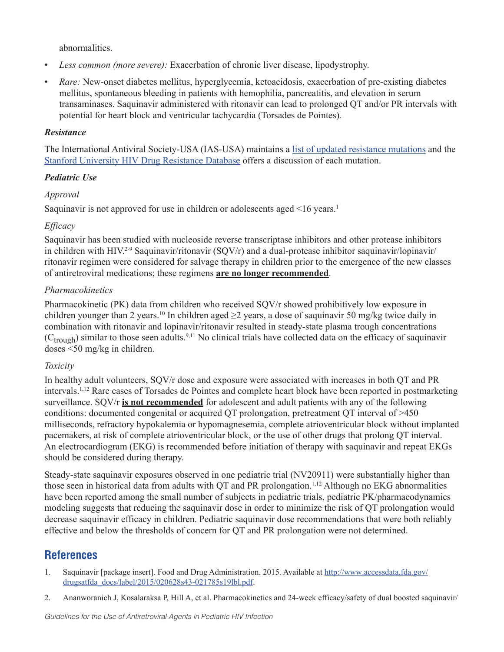abnormalities.

- *Less common (more severe):* Exacerbation of chronic liver disease, lipodystrophy.
- *Rare:* New-onset diabetes mellitus, hyperglycemia, ketoacidosis, exacerbation of pre-existing diabetes mellitus, spontaneous bleeding in patients with hemophilia, pancreatitis, and elevation in serum transaminases. Saquinavir administered with ritonavir can lead to prolonged QT and/or PR intervals with potential for heart block and ventricular tachycardia (Torsades de Pointes).

## *Resistance*

The International Antiviral Society-USA (IAS-USA) maintains a list of updated resistance mutations and the Stanford University HIV Drug Resistance Database offers a discussion of each mutation.

## *Pediatric Use*

## *Approval*

Saquinavir is not approved for use in children or adolescents aged <16 years.<sup>1</sup>

## *Efficacy*

Saquinavir has been studied with nucleoside reverse transcriptase inhibitors and other protease inhibitors in children with HIV.2-9 Saquinavir/ritonavir (SQV/r) and a dual-protease inhibitor saquinavir/lopinavir/ ritonavir regimen were considered for salvage therapy in children prior to the emergence of the new classes of antiretroviral medications; these regimens **are no longer recommended**.

## *Pharmacokinetics*

Pharmacokinetic (PK) data from children who received SQV/r showed prohibitively low exposure in children younger than 2 years.<sup>10</sup> In children aged  $\geq$ 2 years, a dose of saquinavir 50 mg/kg twice daily in combination with ritonavir and lopinavir/ritonavir resulted in steady-state plasma trough concentrations  $(C_{trough})$  similar to those seen adults.<sup>9,11</sup> No clinical trials have collected data on the efficacy of saquinavir doses <50 mg/kg in children.

#### *Toxicity*

In healthy adult volunteers, SQV/r dose and exposure were associated with increases in both QT and PR intervals.1,12 Rare cases of Torsades de Pointes and complete heart block have been reported in postmarketing surveillance. SQV/r **is not recommended** for adolescent and adult patients with any of the following conditions: documented congenital or acquired QT prolongation, pretreatment QT interval of >450 milliseconds, refractory hypokalemia or hypomagnesemia, complete atrioventricular block without implanted pacemakers, at risk of complete atrioventricular block, or the use of other drugs that prolong QT interval. An electrocardiogram (EKG) is recommended before initiation of therapy with saquinavir and repeat EKGs should be considered during therapy.

Steady-state saquinavir exposures observed in one pediatric trial (NV20911) were substantially higher than those seen in historical data from adults with QT and PR prolongation.1,12 Although no EKG abnormalities have been reported among the small number of subjects in pediatric trials, pediatric PK/pharmacodynamics modeling suggests that reducing the saquinavir dose in order to minimize the risk of QT prolongation would decrease saquinavir efficacy in children. Pediatric saquinavir dose recommendations that were both reliably effective and below the thresholds of concern for QT and PR prolongation were not determined.

# **References**

- 1. Saquinavir [package insert]. Food and Drug Administration. 2015. Available at http://www.accessdata.fda.gov/ drugsatfda\_docs/label/2015/020628s43-021785s19lbl.pdf.
- 2. Ananworanich J, Kosalaraksa P, Hill A, et al. Pharmacokinetics and 24-week efficacy/safety of dual boosted saquinavir/